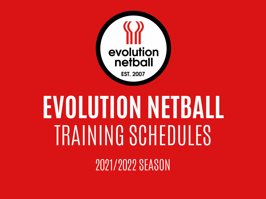

# **EVOLUTION NETBALL** TRAINING SCHEDULES

2021/2022 SEASON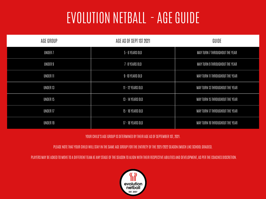#### EVOLUTION NETBALL - AGE GUIDE

| AGE GROUP           | AGE AS OF SEPT 1ST 2021 | GUIDE                           |
|---------------------|-------------------------|---------------------------------|
| UNDER <sub>7</sub>  | 5 - 6 YEARS OLD         | MAY TURN 7 THROUGHOUT THE YEAR  |
| UNDER 9             | 7-8 YEARS OLD           | MAY TURN 9 THROUGHOUT THE YEAR  |
| <b>UNDER 11</b>     | 9-10 YEARS OLD          | MAY TURN 11 THROUGHOUT THE YEAR |
| UNDER 13            | 11 - 12 YEARS OLD       | MAY TURN 13 THROUGHOUT THE YEAR |
| UNDER 15            | 13 - 14 YEARS OLD       | MAY TURN 15 THROUGHOUT THE YEAR |
| UNDER <sub>17</sub> | 15 - 16 YEARS OLD       | MAY TURN 17 THROUGHOUT THE YEAR |
| UNDER 19            | 17 - 18 YEARS OLD       | MAY TURN 19 THROUGHOUT THE YEAR |

YOUR CHILD'S AGE GROUP IS DETERMINED BY THEIR AGE AS OF SEPTEMBER 1ST, 2021.

PLEASE NOTE THAT YOUR CHILD WILL STAY IN THE SAME AGE GROUP FOR THE ENTIRETY OF THE 2021/2022 SEASON (MUCH LIKE SCHOOL GRADES).

PLAYERS MAY BE ASKED TO MOVE TO A DIFFERENT TEAM AT ANY STAGE OF THE SEASON TO ALIGN WITH THEIR RESPECTIVE ABILITIES AND DEVELOPMENT, AS PER THE COACHES DISCRETION.

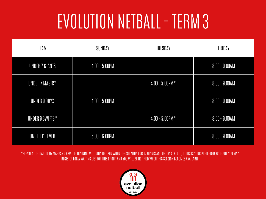### EVOLUTION NETBALL - TERM 3

| <b>TEAM</b>     | SUNDAY           | <b>TUESDAY</b>       | FRIDAY           |
|-----------------|------------------|----------------------|------------------|
| UNDER 7 GIANTS  | $4.00 - 5.00$ PM |                      | $8.00 - 9.00$ AM |
| UNDER 7 MAGIC*  |                  | $4.00 - 5.00$ PM $*$ | $8.00 - 9.00$ AM |
| UNDER 9 ORYX    | $4.00 - 5.00$ PM |                      | $8.00 - 9.00$ AM |
| UNDER 9 SWIFTS* |                  | $4.00 - 5.00$ PM $*$ | $8.00 - 9.00$ AM |
| UNDER 11 FEVER  | $5.00 - 6.00$ PM |                      | $8.00 - 9.00AM$  |

\*PLEASE NOTE THAT THE U7 MAGIC & U9 SWIFTS TRAINING WILL ONLY BE OPEN WHEN REGISTRATION FOR U7 GIANTS AND U9 ORYX IS FULL, IF THIS IS YOUR PREFERRED SCHEDULE YOU MAY REGISTER FOR A WAITING LIST FOR THIS GROUP AND YOU WILL BE NOTIFIED WHEN THIS SESSION BECOMES AVAILABLE

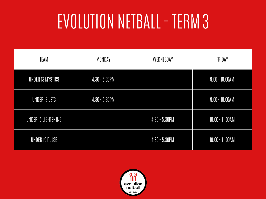### EVOLUTION NETBALL - TERM 3

| <b>TEAM</b>         | <b>MONDAY</b>    | WEDNESDAY        | FRIDAY            |
|---------------------|------------------|------------------|-------------------|
| UNDER 13 MYSTICS    | $4.30 - 5.30$ PM |                  | $9.00 - 10.00AM$  |
| UNDER 13 JETS       | $4.30 - 5.30$ PM |                  | $9.00 - 10.00$ AM |
| UNDER 15 LIGHTENING |                  | $4.30 - 5.30$ PM | $10.00 - 11.00AM$ |
| UNDER 19 PULSE      |                  | $4.30 - 5.30$ PM | $10.00 - 11.00AM$ |